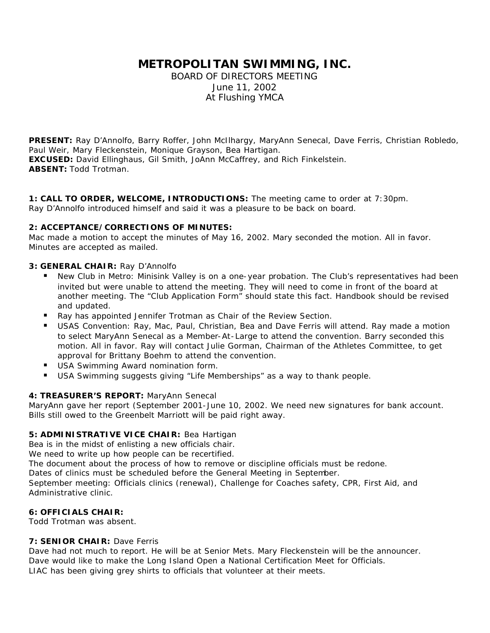# **METROPOLITAN SWIMMING, INC.**

BOARD OF DIRECTORS MEETING June 11, 2002 At Flushing YMCA

**PRESENT:** Ray D'Annolfo, Barry Roffer, John McIlhargy, MaryAnn Senecal, Dave Ferris, Christian Robledo, Paul Weir, Mary Fleckenstein, Monique Grayson, Bea Hartigan. **EXCUSED:** David Ellinghaus, Gil Smith, JoAnn McCaffrey, and Rich Finkelstein. **ABSENT:** Todd Trotman.

**1: CALL TO ORDER, WELCOME, INTRODUCTIONS:** The meeting came to order at 7:30pm. Ray D'Annolfo introduced himself and said it was a pleasure to be back on board.

## **2: ACCEPTANCE/CORRECTIONS OF MINUTES:**

Mac made a motion to accept the minutes of May 16, 2002. Mary seconded the motion. All in favor. Minutes are accepted as mailed.

## **3: GENERAL CHAIR:** Ray D'Annolfo

- ß New Club in Metro: Minisink Valley is on a one-year probation. The Club's representatives had been invited but were unable to attend the meeting. They will need to come in front of the board at another meeting. The "Club Application Form" should state this fact. Handbook should be revised and updated.
- ß Ray has appointed Jennifer Trotman as Chair of the Review Section.
- ß USAS Convention: Ray, Mac, Paul, Christian, Bea and Dave Ferris will attend. Ray made a motion to select MaryAnn Senecal as a Member-At-Large to attend the convention. Barry seconded this motion. All in favor. Ray will contact Julie Gorman, Chairman of the Athletes Committee, to get approval for Brittany Boehm to attend the convention.
- USA Swimming Award nomination form.
- USA Swimming suggests giving "Life Memberships" as a way to thank people.

## **4: TREASURER'S REPORT:** MaryAnn Senecal

MaryAnn gave her report (September 2001-June 10, 2002. We need new signatures for bank account. Bills still owed to the Greenbelt Marriott will be paid right away.

# **5: ADMINISTRATIVE VICE CHAIR:** Bea Hartigan

Bea is in the midst of enlisting a new officials chair.

We need to write up how people can be recertified.

The document about the process of how to remove or discipline officials must be redone.

Dates of clinics must be scheduled before the General Meeting in September.

September meeting: Officials clinics (renewal), Challenge for Coaches safety, CPR, First Aid, and Administrative clinic.

#### **6: OFFICIALS CHAIR:**

Todd Trotman was absent.

# **7: SENIOR CHAIR:** Dave Ferris

Dave had not much to report. He will be at Senior Mets. Mary Fleckenstein will be the announcer. Dave would like to make the Long Island Open a National Certification Meet for Officials. LIAC has been giving grey shirts to officials that volunteer at their meets.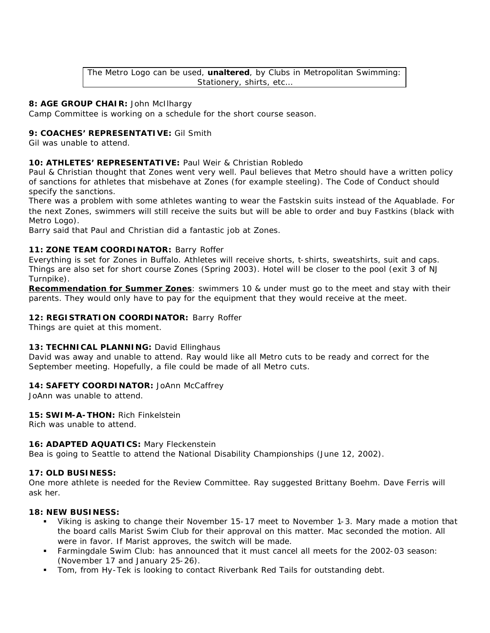The Metro Logo can be used, **unaltered**, by Clubs in Metropolitan Swimming: Stationery, shirts, etc…

### **8: AGE GROUP CHAIR:** John McIlhargy

Camp Committee is working on a schedule for the short course season.

### **9: COACHES' REPRESENTATIVE:** Gil Smith

Gil was unable to attend.

## **10: ATHLETES' REPRESENTATIVE:** Paul Weir & Christian Robledo

Paul & Christian thought that Zones went very well. Paul believes that Metro should have a written policy of sanctions for athletes that misbehave at Zones (for example steeling). The Code of Conduct should specify the sanctions.

There was a problem with some athletes wanting to wear the Fastskin suits instead of the Aquablade. For the next Zones, swimmers will still receive the suits but will be able to order and buy Fastkins (black with Metro Logo).

Barry said that Paul and Christian did a fantastic job at Zones.

## **11: ZONE TEAM COORDINATOR:** Barry Roffer

Everything is set for Zones in Buffalo. Athletes will receive shorts, t-shirts, sweatshirts, suit and caps. Things are also set for short course Zones (Spring 2003). Hotel will be closer to the pool (exit 3 of NJ Turnpike).

*Recommendation for Summer Zones*: swimmers 10 & under must go to the meet and stay with their parents. They would only have to pay for the equipment that they would receive at the meet.

## **12: REGISTRATION COORDINATOR:** Barry Roffer

Things are quiet at this moment.

#### **13: TECHNICAL PLANNING:** David Ellinghaus

David was away and unable to attend. Ray would like all Metro cuts to be ready and correct for the September meeting. Hopefully, a file could be made of all Metro cuts.

#### 14: SAFETY COORDINATOR: JoAnn McCaffrey

JoAnn was unable to attend.

**15: SWIM-A-THON:** Rich Finkelstein

Rich was unable to attend.

#### **16: ADAPTED AQUATICS:** Mary Fleckenstein

Bea is going to Seattle to attend the National Disability Championships (June 12, 2002).

#### **17: OLD BUSINESS:**

One more athlete is needed for the Review Committee. Ray suggested Brittany Boehm. Dave Ferris will ask her.

# **18: NEW BUSINESS:**

- ß Viking is asking to change their November 15-17 meet to November 1-3. Mary made a motion that the board calls Marist Swim Club for their approval on this matter. Mac seconded the motion. All were in favor. If Marist approves, the switch will be made.
- ß Farmingdale Swim Club: has announced that it must cancel all meets for the 2002-03 season: (November 17 and January 25-26).
- ß Tom, from Hy-Tek is looking to contact Riverbank Red Tails for outstanding debt.